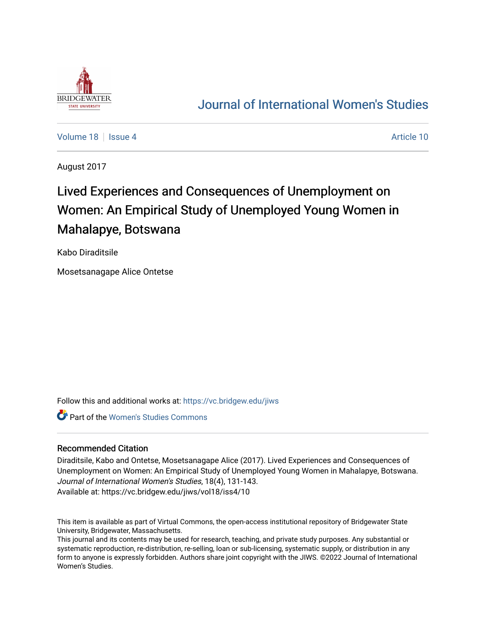

## [Journal of International Women's Studies](https://vc.bridgew.edu/jiws)

[Volume 18](https://vc.bridgew.edu/jiws/vol18) September 18 [Issue 4](https://vc.bridgew.edu/jiws/vol18/iss4) Article 10

August 2017

# Lived Experiences and Consequences of Unemployment on Women: An Empirical Study of Unemployed Young Women in Mahalapye, Botswana

Kabo Diraditsile

Mosetsanagape Alice Ontetse

Follow this and additional works at: [https://vc.bridgew.edu/jiws](https://vc.bridgew.edu/jiws?utm_source=vc.bridgew.edu%2Fjiws%2Fvol18%2Fiss4%2F10&utm_medium=PDF&utm_campaign=PDFCoverPages)

Part of the [Women's Studies Commons](http://network.bepress.com/hgg/discipline/561?utm_source=vc.bridgew.edu%2Fjiws%2Fvol18%2Fiss4%2F10&utm_medium=PDF&utm_campaign=PDFCoverPages) 

## Recommended Citation

Diraditsile, Kabo and Ontetse, Mosetsanagape Alice (2017). Lived Experiences and Consequences of Unemployment on Women: An Empirical Study of Unemployed Young Women in Mahalapye, Botswana. Journal of International Women's Studies, 18(4), 131-143. Available at: https://vc.bridgew.edu/jiws/vol18/iss4/10

This item is available as part of Virtual Commons, the open-access institutional repository of Bridgewater State University, Bridgewater, Massachusetts.

This journal and its contents may be used for research, teaching, and private study purposes. Any substantial or systematic reproduction, re-distribution, re-selling, loan or sub-licensing, systematic supply, or distribution in any form to anyone is expressly forbidden. Authors share joint copyright with the JIWS. ©2022 Journal of International Women's Studies.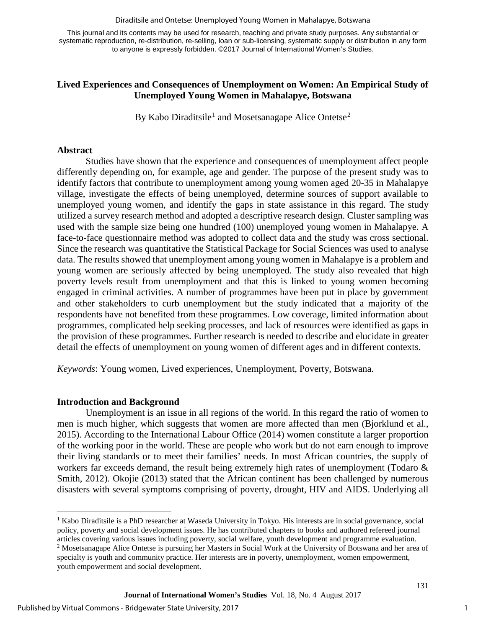#### Diraditsile and Ontetse: Unemployed Young Women in Mahalapye, Botswana

This journal and its contents may be used for research, teaching and private study purposes. Any substantial or systematic reproduction, re-distribution, re-selling, loan or sub-licensing, systematic supply or distribution in any form to anyone is expressly forbidden. ©2017 Journal of International Women's Studies.

## **Lived Experiences and Consequences of Unemployment on Women: An Empirical Study of Unemployed Young Women in Mahalapye, Botswana**

By Kabo Diraditsile<sup>[1](#page-1-0)</sup> and Mosetsanagape Alice Ontetse<sup>[2](#page-1-1)</sup>

#### **Abstract**

Studies have shown that the experience and consequences of unemployment affect people differently depending on, for example, age and gender. The purpose of the present study was to identify factors that contribute to unemployment among young women aged 20-35 in Mahalapye village, investigate the effects of being unemployed, determine sources of support available to unemployed young women, and identify the gaps in state assistance in this regard. The study utilized a survey research method and adopted a descriptive research design. Cluster sampling was used with the sample size being one hundred (100) unemployed young women in Mahalapye. A face-to-face questionnaire method was adopted to collect data and the study was cross sectional. Since the research was quantitative the Statistical Package for Social Sciences was used to analyse data. The results showed that unemployment among young women in Mahalapye is a problem and young women are seriously affected by being unemployed. The study also revealed that high poverty levels result from unemployment and that this is linked to young women becoming engaged in criminal activities. A number of programmes have been put in place by government and other stakeholders to curb unemployment but the study indicated that a majority of the respondents have not benefited from these programmes. Low coverage, limited information about programmes, complicated help seeking processes, and lack of resources were identified as gaps in the provision of these programmes. Further research is needed to describe and elucidate in greater detail the effects of unemployment on young women of different ages and in different contexts.

*Keywords*: Young women, Lived experiences, Unemployment, Poverty, Botswana.

### **Introduction and Background**

 $\overline{a}$ 

Unemployment is an issue in all regions of the world. In this regard the ratio of women to men is much higher, which suggests that women are more affected than men (Bjorklund et al., 2015). According to the International Labour Office (2014) women constitute a larger proportion of the working poor in the world. These are people who work but do not earn enough to improve their living standards or to meet their families' needs. In most African countries, the supply of workers far exceeds demand, the result being extremely high rates of unemployment (Todaro & Smith, 2012). Okojie (2013) stated that the African continent has been challenged by numerous disasters with several symptoms comprising of poverty, drought, HIV and AIDS. Underlying all

<span id="page-1-1"></span><span id="page-1-0"></span><sup>&</sup>lt;sup>1</sup> Kabo Diraditsile is a PhD researcher at Waseda University in Tokyo. His interests are in social governance, social policy, poverty and social development issues. He has contributed chapters to books and authored refereed journal articles covering various issues including poverty, social welfare, youth development and programme evaluation. <sup>2</sup> Mosetsanagape Alice Ontetse is pursuing her Masters in Social Work at the University of Botswana and her area of specialty is youth and community practice. Her interests are in poverty, unemployment, women empowerment, youth empowerment and social development.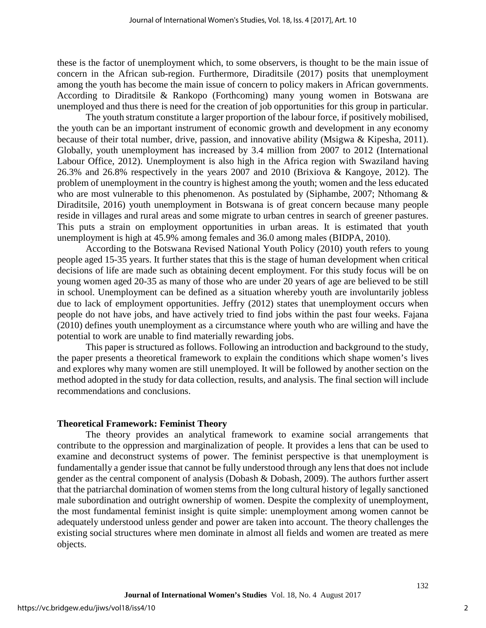these is the factor of unemployment which, to some observers, is thought to be the main issue of concern in the African sub-region. Furthermore, Diraditsile (2017) posits that unemployment among the youth has become the main issue of concern to policy makers in African governments. According to Diraditsile & Rankopo (Forthcoming) many young women in Botswana are unemployed and thus there is need for the creation of job opportunities for this group in particular.

The youth stratum constitute a larger proportion of the labour force, if positively mobilised, the youth can be an important instrument of economic growth and development in any economy because of their total number, drive, passion, and innovative ability (Msigwa & Kipesha, 2011). Globally, youth unemployment has increased by 3.4 million from 2007 to 2012 (International Labour Office, 2012). Unemployment is also high in the Africa region with Swaziland having 26.3% and 26.8% respectively in the years 2007 and 2010 (Brixiova & Kangoye, 2012). The problem of unemployment in the country is highest among the youth; women and the less educated who are most vulnerable to this phenomenon. As postulated by (Siphambe, 2007; Nthomang & Diraditsile, 2016) youth unemployment in Botswana is of great concern because many people reside in villages and rural areas and some migrate to urban centres in search of greener pastures. This puts a strain on employment opportunities in urban areas. It is estimated that youth unemployment is high at 45.9% among females and 36.0 among males (BIDPA, 2010).

According to the Botswana Revised National Youth Policy (2010) youth refers to young people aged 15-35 years. It further states that this is the stage of human development when critical decisions of life are made such as obtaining decent employment. For this study focus will be on young women aged 20-35 as many of those who are under 20 years of age are believed to be still in school. Unemployment can be defined as a situation whereby youth are involuntarily jobless due to lack of employment opportunities. Jeffry (2012) states that unemployment occurs when people do not have jobs, and have actively tried to find jobs within the past four weeks. Fajana (2010) defines youth unemployment as a circumstance where youth who are willing and have the potential to work are unable to find materially rewarding jobs.

This paper is structured as follows. Following an introduction and background to the study, the paper presents a theoretical framework to explain the conditions which shape women's lives and explores why many women are still unemployed. It will be followed by another section on the method adopted in the study for data collection, results, and analysis. The final section will include recommendations and conclusions.

### **Theoretical Framework: Feminist Theory**

The theory provides an analytical framework to examine social arrangements that contribute to the oppression and marginalization of people. It provides a lens that can be used to examine and deconstruct systems of power. The feminist perspective is that unemployment is fundamentally a gender issue that cannot be fully understood through any lens that does not include gender as the central component of analysis (Dobash & Dobash, 2009). The authors further assert that the patriarchal domination of women stems from the long cultural history of legally sanctioned male subordination and outright ownership of women. Despite the complexity of unemployment, the most fundamental feminist insight is quite simple: unemployment among women cannot be adequately understood unless gender and power are taken into account. The theory challenges the existing social structures where men dominate in almost all fields and women are treated as mere objects.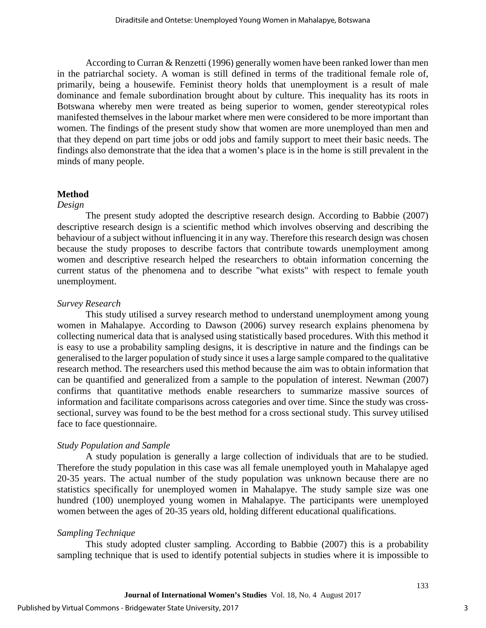According to Curran & Renzetti (1996) generally women have been ranked lower than men in the patriarchal society. A woman is still defined in terms of the traditional female role of, primarily, being a housewife. Feminist theory holds that unemployment is a result of male dominance and female subordination brought about by culture. This inequality has its roots in Botswana whereby men were treated as being superior to women, gender stereotypical roles manifested themselves in the labour market where men were considered to be more important than women. The findings of the present study show that women are more unemployed than men and that they depend on part time jobs or odd jobs and family support to meet their basic needs. The findings also demonstrate that the idea that a women's place is in the home is still prevalent in the minds of many people.

### **Method**

### *Design*

The present study adopted the descriptive research design. According to Babbie (2007) descriptive research design is a scientific method which involves observing and describing the behaviour of a subject without influencing it in any way. Therefore this research design was chosen because the study proposes to describe factors that contribute towards unemployment among women and descriptive research helped the researchers to obtain information concerning the current status of the phenomena and to describe "what exists" with respect to female youth unemployment.

### *Survey Research*

This study utilised a survey research method to understand unemployment among young women in Mahalapye. According to Dawson (2006) survey research explains phenomena by collecting numerical data that is analysed using statistically based procedures. With this method it is easy to use a probability sampling designs, it is descriptive in nature and the findings can be generalised to the larger population of study since it uses a large sample compared to the qualitative research method. The researchers used this method because the aim was to obtain information that can be quantified and generalized from a sample to the population of interest. Newman (2007) confirms that quantitative methods enable researchers to summarize massive sources of information and facilitate comparisons across categories and over time. Since the study was crosssectional, survey was found to be the best method for a cross sectional study. This survey utilised face to face questionnaire.

## *Study Population and Sample*

A study population is generally a large collection of individuals that are to be studied. Therefore the study population in this case was all female unemployed youth in Mahalapye aged 20-35 years. The actual number of the study population was unknown because there are no statistics specifically for unemployed women in Mahalapye. The study sample size was one hundred (100) unemployed young women in Mahalapye. The participants were unemployed women between the ages of 20-35 years old, holding different educational qualifications.

## *Sampling Technique*

This study adopted cluster sampling. According to Babbie (2007) this is a probability sampling technique that is used to identify potential subjects in studies where it is impossible to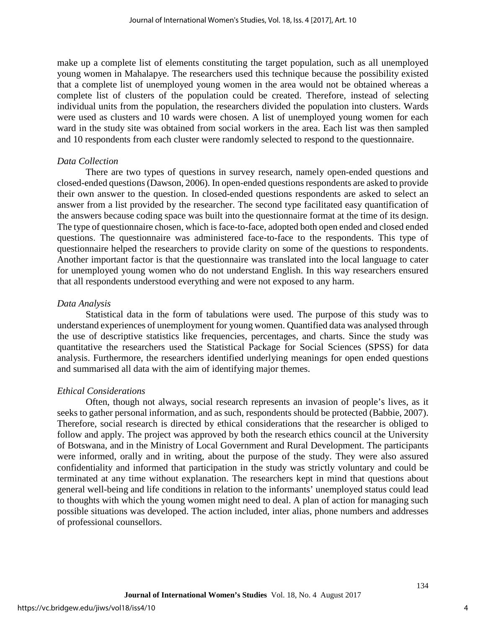make up a complete list of elements constituting the target population, such as all unemployed young women in Mahalapye. The researchers used this technique because the possibility existed that a complete list of unemployed young women in the area would not be obtained whereas a complete list of clusters of the population could be created. Therefore, instead of selecting individual units from the population, the researchers divided the population into clusters. Wards were used as clusters and 10 wards were chosen. A list of unemployed young women for each ward in the study site was obtained from social workers in the area. Each list was then sampled and 10 respondents from each cluster were randomly selected to respond to the questionnaire.

## *Data Collection*

There are two types of questions in survey research, namely open-ended questions and closed-ended questions (Dawson, 2006). In open-ended questions respondents are asked to provide their own answer to the question. In closed-ended questions respondents are asked to select an answer from a list provided by the researcher. The second type facilitated easy quantification of the answers because coding space was built into the questionnaire format at the time of its design. The type of questionnaire chosen, which is face-to-face, adopted both open ended and closed ended questions. The questionnaire was administered face-to-face to the respondents. This type of questionnaire helped the researchers to provide clarity on some of the questions to respondents. Another important factor is that the questionnaire was translated into the local language to cater for unemployed young women who do not understand English. In this way researchers ensured that all respondents understood everything and were not exposed to any harm.

## *Data Analysis*

Statistical data in the form of tabulations were used. The purpose of this study was to understand experiences of unemployment for young women. Quantified data was analysed through the use of descriptive statistics like frequencies, percentages, and charts. Since the study was quantitative the researchers used the Statistical Package for Social Sciences (SPSS) for data analysis. Furthermore, the researchers identified underlying meanings for open ended questions and summarised all data with the aim of identifying major themes.

## *Ethical Considerations*

Often, though not always, social research represents an invasion of people's lives, as it seeks to gather personal information, and as such, respondents should be protected (Babbie, 2007). Therefore, social research is directed by ethical considerations that the researcher is obliged to follow and apply. The project was approved by both the research ethics council at the University of Botswana, and in the Ministry of Local Government and Rural Development. The participants were informed, orally and in writing, about the purpose of the study. They were also assured confidentiality and informed that participation in the study was strictly voluntary and could be terminated at any time without explanation. The researchers kept in mind that questions about general well-being and life conditions in relation to the informants' unemployed status could lead to thoughts with which the young women might need to deal. A plan of action for managing such possible situations was developed. The action included, inter alias, phone numbers and addresses of professional counsellors.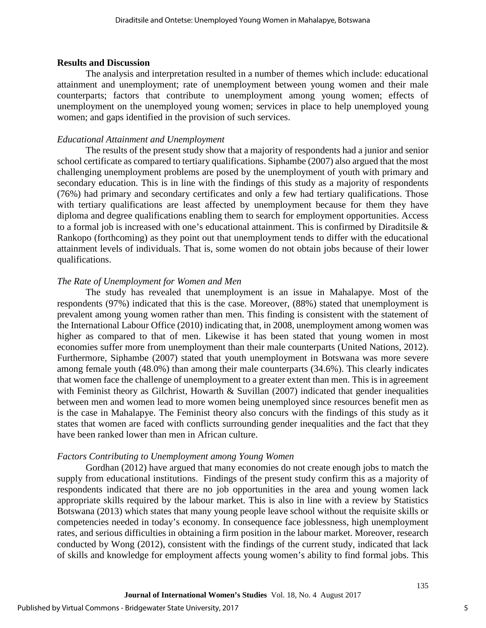#### **Results and Discussion**

The analysis and interpretation resulted in a number of themes which include: educational attainment and unemployment; rate of unemployment between young women and their male counterparts; factors that contribute to unemployment among young women; effects of unemployment on the unemployed young women; services in place to help unemployed young women; and gaps identified in the provision of such services.

#### *Educational Attainment and Unemployment*

The results of the present study show that a majority of respondents had a junior and senior school certificate as compared to tertiary qualifications. Siphambe (2007) also argued that the most challenging unemployment problems are posed by the unemployment of youth with primary and secondary education. This is in line with the findings of this study as a majority of respondents (76%) had primary and secondary certificates and only a few had tertiary qualifications. Those with tertiary qualifications are least affected by unemployment because for them they have diploma and degree qualifications enabling them to search for employment opportunities. Access to a formal job is increased with one's educational attainment. This is confirmed by Diraditsile & Rankopo (forthcoming) as they point out that unemployment tends to differ with the educational attainment levels of individuals. That is, some women do not obtain jobs because of their lower qualifications.

#### *The Rate of Unemployment for Women and Men*

The study has revealed that unemployment is an issue in Mahalapye. Most of the respondents (97%) indicated that this is the case. Moreover, (88%) stated that unemployment is prevalent among young women rather than men. This finding is consistent with the statement of the International Labour Office (2010) indicating that, in 2008, unemployment among women was higher as compared to that of men. Likewise it has been stated that young women in most economies suffer more from unemployment than their male counterparts (United Nations, 2012). Furthermore, Siphambe (2007) stated that youth unemployment in Botswana was more severe among female youth (48.0%) than among their male counterparts (34.6%). This clearly indicates that women face the challenge of unemployment to a greater extent than men. This is in agreement with Feminist theory as Gilchrist, Howarth  $&$  Suvillan (2007) indicated that gender inequalities between men and women lead to more women being unemployed since resources benefit men as is the case in Mahalapye. The Feminist theory also concurs with the findings of this study as it states that women are faced with conflicts surrounding gender inequalities and the fact that they have been ranked lower than men in African culture.

#### *Factors Contributing to Unemployment among Young Women*

Gordhan (2012) have argued that many economies do not create enough jobs to match the supply from educational institutions. Findings of the present study confirm this as a majority of respondents indicated that there are no job opportunities in the area and young women lack appropriate skills required by the labour market. This is also in line with a review by Statistics Botswana (2013) which states that many young people leave school without the requisite skills or competencies needed in today's economy. In consequence face joblessness, high unemployment rates, and serious difficulties in obtaining a firm position in the labour market. Moreover, research conducted by Wong (2012), consistent with the findings of the current study, indicated that lack of skills and knowledge for employment affects young women's ability to find formal jobs. This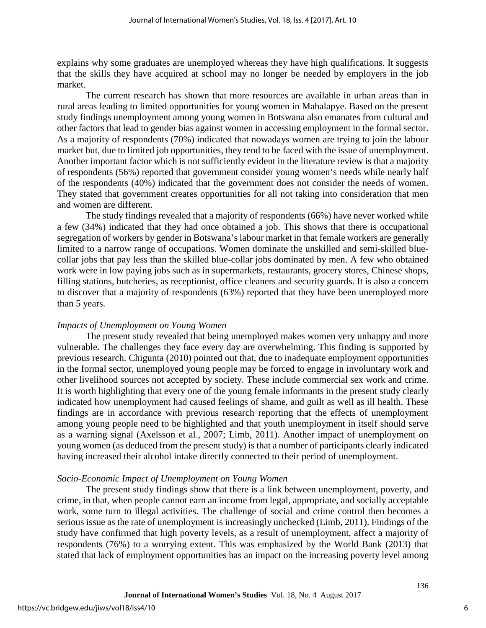explains why some graduates are unemployed whereas they have high qualifications. It suggests that the skills they have acquired at school may no longer be needed by employers in the job market.

The current research has shown that more resources are available in urban areas than in rural areas leading to limited opportunities for young women in Mahalapye. Based on the present study findings unemployment among young women in Botswana also emanates from cultural and other factors that lead to gender bias against women in accessing employment in the formal sector. As a majority of respondents (70%) indicated that nowadays women are trying to join the labour market but, due to limited job opportunities, they tend to be faced with the issue of unemployment. Another important factor which is not sufficiently evident in the literature review is that a majority of respondents (56%) reported that government consider young women's needs while nearly half of the respondents (40%) indicated that the government does not consider the needs of women. They stated that government creates opportunities for all not taking into consideration that men and women are different.

The study findings revealed that a majority of respondents (66%) have never worked while a few (34%) indicated that they had once obtained a job. This shows that there is occupational segregation of workers by gender in Botswana's labour market in that female workers are generally limited to a narrow range of occupations. Women dominate the unskilled and semi-skilled bluecollar jobs that pay less than the skilled blue-collar jobs dominated by men. A few who obtained work were in low paying jobs such as in supermarkets, restaurants, grocery stores, Chinese shops, filling stations, butcheries, as receptionist, office cleaners and security guards. It is also a concern to discover that a majority of respondents (63%) reported that they have been unemployed more than 5 years.

## *Impacts of Unemployment on Young Women*

The present study revealed that being unemployed makes women very unhappy and more vulnerable. The challenges they face every day are overwhelming. This finding is supported by previous research. Chigunta (2010) pointed out that, due to inadequate employment opportunities in the formal sector, unemployed young people may be forced to engage in involuntary work and other livelihood sources not accepted by society. These include commercial sex work and crime. It is worth highlighting that every one of the young female informants in the present study clearly indicated how unemployment had caused feelings of shame, and guilt as well as ill health. These findings are in accordance with previous research reporting that the effects of unemployment among young people need to be highlighted and that youth unemployment in itself should serve as a warning signal (Axelsson et al., 2007; Limb, 2011). Another impact of unemployment on young women (as deduced from the present study) is that a number of participants clearly indicated having increased their alcohol intake directly connected to their period of unemployment.

## *Socio-Economic Impact of Unemployment on Young Women*

The present study findings show that there is a link between unemployment, poverty, and crime, in that, when people cannot earn an income from legal, appropriate, and socially acceptable work, some turn to illegal activities. The challenge of social and crime control then becomes a serious issue as the rate of unemployment is increasingly unchecked (Limb, 2011). Findings of the study have confirmed that high poverty levels, as a result of unemployment, affect a majority of respondents (76%) to a worrying extent. This was emphasized by the World Bank (2013) that stated that lack of employment opportunities has an impact on the increasing poverty level among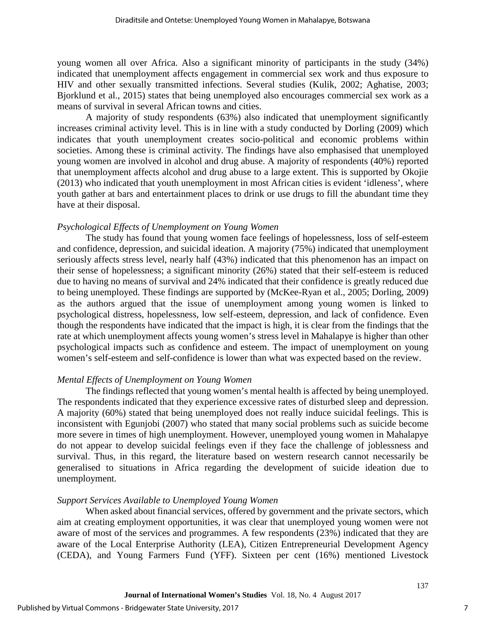young women all over Africa. Also a significant minority of participants in the study (34%) indicated that unemployment affects engagement in commercial sex work and thus exposure to HIV and other sexually transmitted infections. Several studies (Kulik, 2002; Aghatise, 2003; Bjorklund et al., 2015) states that being unemployed also encourages commercial sex work as a means of survival in several African towns and cities.

A majority of study respondents (63%) also indicated that unemployment significantly increases criminal activity level. This is in line with a study conducted by Dorling (2009) which indicates that youth unemployment creates socio-political and economic problems within societies. Among these is criminal activity. The findings have also emphasised that unemployed young women are involved in alcohol and drug abuse. A majority of respondents (40%) reported that unemployment affects alcohol and drug abuse to a large extent. This is supported by Okojie (2013) who indicated that youth unemployment in most African cities is evident 'idleness', where youth gather at bars and entertainment places to drink or use drugs to fill the abundant time they have at their disposal.

## *Psychological Effects of Unemployment on Young Women*

The study has found that young women face feelings of hopelessness, loss of self-esteem and confidence, depression, and suicidal ideation. A majority (75%) indicated that unemployment seriously affects stress level, nearly half (43%) indicated that this phenomenon has an impact on their sense of hopelessness; a significant minority (26%) stated that their self-esteem is reduced due to having no means of survival and 24% indicated that their confidence is greatly reduced due to being unemployed. These findings are supported by (McKee-Ryan et al., 2005; Dorling, 2009) as the authors argued that the issue of unemployment among young women is linked to psychological distress, hopelessness, low self-esteem, depression, and lack of confidence. Even though the respondents have indicated that the impact is high, it is clear from the findings that the rate at which unemployment affects young women's stress level in Mahalapye is higher than other psychological impacts such as confidence and esteem. The impact of unemployment on young women's self-esteem and self-confidence is lower than what was expected based on the review.

### *Mental Effects of Unemployment on Young Women*

The findings reflected that young women's mental health is affected by being unemployed. The respondents indicated that they experience excessive rates of disturbed sleep and depression. A majority (60%) stated that being unemployed does not really induce suicidal feelings. This is inconsistent with Egunjobi (2007) who stated that many social problems such as suicide become more severe in times of high unemployment. However, unemployed young women in Mahalapye do not appear to develop suicidal feelings even if they face the challenge of joblessness and survival. Thus, in this regard, the literature based on western research cannot necessarily be generalised to situations in Africa regarding the development of suicide ideation due to unemployment.

## *Support Services Available to Unemployed Young Women*

When asked about financial services, offered by government and the private sectors, which aim at creating employment opportunities, it was clear that unemployed young women were not aware of most of the services and programmes. A few respondents (23%) indicated that they are aware of the Local Enterprise Authority (LEA), Citizen Entrepreneurial Development Agency (CEDA), and Young Farmers Fund (YFF). Sixteen per cent (16%) mentioned Livestock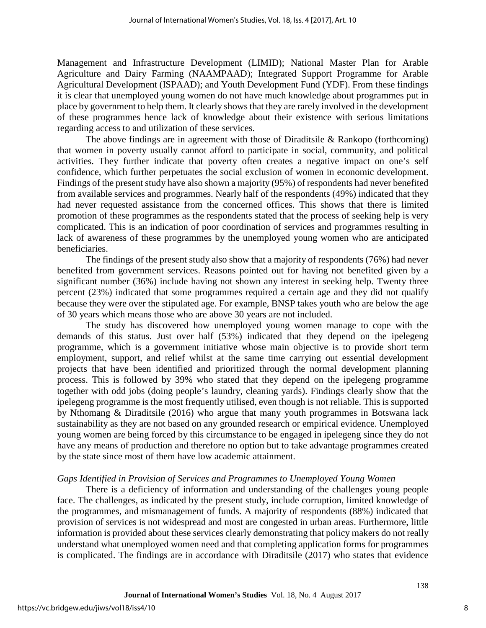Management and Infrastructure Development (LIMID); National Master Plan for Arable Agriculture and Dairy Farming (NAAMPAAD); Integrated Support Programme for Arable Agricultural Development (ISPAAD); and Youth Development Fund (YDF). From these findings it is clear that unemployed young women do not have much knowledge about programmes put in place by government to help them. It clearly shows that they are rarely involved in the development of these programmes hence lack of knowledge about their existence with serious limitations regarding access to and utilization of these services.

The above findings are in agreement with those of Diraditsile  $\&$  Rankopo (forthcoming) that women in poverty usually cannot afford to participate in social, community, and political activities. They further indicate that poverty often creates a negative impact on one's self confidence, which further perpetuates the social exclusion of women in economic development. Findings of the present study have also shown a majority (95%) of respondents had never benefited from available services and programmes. Nearly half of the respondents (49%) indicated that they had never requested assistance from the concerned offices. This shows that there is limited promotion of these programmes as the respondents stated that the process of seeking help is very complicated. This is an indication of poor coordination of services and programmes resulting in lack of awareness of these programmes by the unemployed young women who are anticipated beneficiaries.

The findings of the present study also show that a majority of respondents (76%) had never benefited from government services. Reasons pointed out for having not benefited given by a significant number (36%) include having not shown any interest in seeking help. Twenty three percent (23%) indicated that some programmes required a certain age and they did not qualify because they were over the stipulated age. For example, BNSP takes youth who are below the age of 30 years which means those who are above 30 years are not included.

The study has discovered how unemployed young women manage to cope with the demands of this status. Just over half (53%) indicated that they depend on the ipelegeng programme, which is a government initiative whose main objective is to provide short term employment, support, and relief whilst at the same time carrying out essential development projects that have been identified and prioritized through the normal development planning process. This is followed by 39% who stated that they depend on the ipelegeng programme together with odd jobs (doing people's laundry, cleaning yards). Findings clearly show that the ipelegeng programme is the most frequently utilised, even though is not reliable. This is supported by Nthomang & Diraditsile (2016) who argue that many youth programmes in Botswana lack sustainability as they are not based on any grounded research or empirical evidence. Unemployed young women are being forced by this circumstance to be engaged in ipelegeng since they do not have any means of production and therefore no option but to take advantage programmes created by the state since most of them have low academic attainment.

## *Gaps Identified in Provision of Services and Programmes to Unemployed Young Women*

There is a deficiency of information and understanding of the challenges young people face. The challenges, as indicated by the present study, include corruption, limited knowledge of the programmes, and mismanagement of funds. A majority of respondents (88%) indicated that provision of services is not widespread and most are congested in urban areas. Furthermore, little information is provided about these services clearly demonstrating that policy makers do not really understand what unemployed women need and that completing application forms for programmes is complicated. The findings are in accordance with Diraditsile (2017) who states that evidence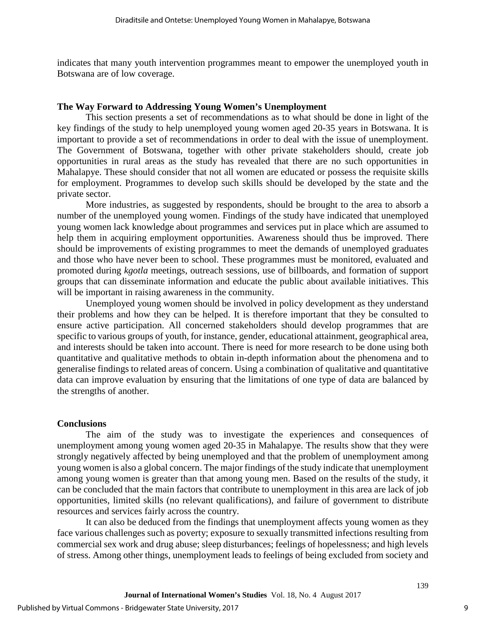indicates that many youth intervention programmes meant to empower the unemployed youth in Botswana are of low coverage.

#### **The Way Forward to Addressing Young Women's Unemployment**

This section presents a set of recommendations as to what should be done in light of the key findings of the study to help unemployed young women aged 20-35 years in Botswana. It is important to provide a set of recommendations in order to deal with the issue of unemployment. The Government of Botswana, together with other private stakeholders should, create job opportunities in rural areas as the study has revealed that there are no such opportunities in Mahalapye. These should consider that not all women are educated or possess the requisite skills for employment. Programmes to develop such skills should be developed by the state and the private sector.

More industries, as suggested by respondents, should be brought to the area to absorb a number of the unemployed young women. Findings of the study have indicated that unemployed young women lack knowledge about programmes and services put in place which are assumed to help them in acquiring employment opportunities. Awareness should thus be improved. There should be improvements of existing programmes to meet the demands of unemployed graduates and those who have never been to school. These programmes must be monitored, evaluated and promoted during *kgotla* meetings, outreach sessions, use of billboards, and formation of support groups that can disseminate information and educate the public about available initiatives. This will be important in raising awareness in the community.

Unemployed young women should be involved in policy development as they understand their problems and how they can be helped. It is therefore important that they be consulted to ensure active participation. All concerned stakeholders should develop programmes that are specific to various groups of youth, for instance, gender, educational attainment, geographical area, and interests should be taken into account. There is need for more research to be done using both quantitative and qualitative methods to obtain in-depth information about the phenomena and to generalise findings to related areas of concern. Using a combination of qualitative and quantitative data can improve evaluation by ensuring that the limitations of one type of data are balanced by the strengths of another.

#### **Conclusions**

The aim of the study was to investigate the experiences and consequences of unemployment among young women aged 20-35 in Mahalapye. The results show that they were strongly negatively affected by being unemployed and that the problem of unemployment among young women is also a global concern. The major findings of the study indicate that unemployment among young women is greater than that among young men. Based on the results of the study, it can be concluded that the main factors that contribute to unemployment in this area are lack of job opportunities, limited skills (no relevant qualifications), and failure of government to distribute resources and services fairly across the country.

It can also be deduced from the findings that unemployment affects young women as they face various challenges such as poverty; exposure to sexually transmitted infections resulting from commercial sex work and drug abuse; sleep disturbances; feelings of hopelessness; and high levels of stress. Among other things, unemployment leads to feelings of being excluded from society and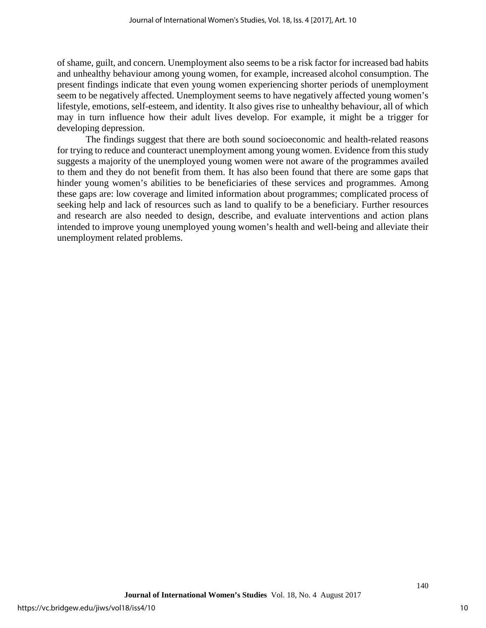of shame, guilt, and concern. Unemployment also seems to be a risk factor for increased bad habits and unhealthy behaviour among young women, for example, increased alcohol consumption. The present findings indicate that even young women experiencing shorter periods of unemployment seem to be negatively affected. Unemployment seems to have negatively affected young women's lifestyle, emotions, self-esteem, and identity. It also gives rise to unhealthy behaviour, all of which may in turn influence how their adult lives develop. For example, it might be a trigger for developing depression.

The findings suggest that there are both sound socioeconomic and health-related reasons for trying to reduce and counteract unemployment among young women. Evidence from this study suggests a majority of the unemployed young women were not aware of the programmes availed to them and they do not benefit from them. It has also been found that there are some gaps that hinder young women's abilities to be beneficiaries of these services and programmes. Among these gaps are: low coverage and limited information about programmes; complicated process of seeking help and lack of resources such as land to qualify to be a beneficiary. Further resources and research are also needed to design, describe, and evaluate interventions and action plans intended to improve young unemployed young women's health and well-being and alleviate their unemployment related problems.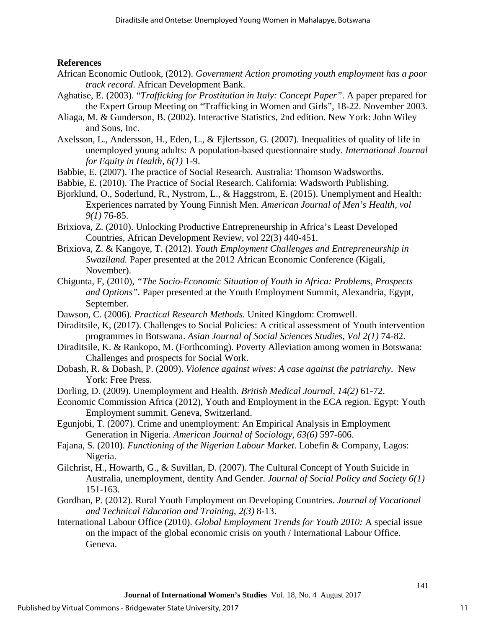## **References**

- African Economic Outlook, (2012). *Government Action promoting youth employment has a poor track record*. African Development Bank.
- Aghatise, E. (2003). "*Trafficking for Prostitution in Italy: Concept Paper"*. A paper prepared for the Expert Group Meeting on "Trafficking in Women and Girls", 18-22. November 2003.
- Aliaga, M. & Gunderson, B. (2002). Interactive Statistics, 2nd edition. New York: John Wiley and Sons, Inc.
- Axelsson, L., Andersson, H., Eden, L., & Ejlertsson, G. (2007). Inequalities of quality of life in unemployed young adults: A population-based questionnaire study. *International Journal for Equity in Health, 6(1)* 1-9.
- Babbie, E. (2007). The practice of Social Research. Australia: Thomson Wadsworths.
- Babbie, E. (2010). The Practice of Social Research. California: Wadsworth Publishing.
- Bjorklund, O., Soderlund, R., Nystrom, L., & Haggstrom, E. (2015). Unemplyment and Health: Experiences narrated by Young Finnish Men. *American Journal of Men's Health, vol 9(1)* 76-85.
- Brixiova, Z. (2010). Unlocking Productive Entrepreneurship in Africa's Least Developed Countries, African Development Review, vol 22(3) 440-451.
- Brixiova, Z. & Kangoye, T. (2012). *Youth Employment Challenges and Entrepreneurship in Swaziland.* Paper presented at the 2012 African Economic Conference (Kigali, November).
- Chigunta, F, (2010), *"The Socio-Economic Situation of Youth in Africa: Problems, Prospects and Options".* Paper presented at the Youth Employment Summit, Alexandria, Egypt, September.
- Dawson, C. (2006). *Practical Research Methods.* United Kingdom: Cromwell.
- Diraditsile, K, (2017). Challenges to Social Policies: A critical assessment of Youth intervention programmes in Botswana. *Asian Journal of Social Sciences Studies, Vol 2(1)* 74-82.
- Diraditsile, K. & Rankopo, M. (Forthcoming). Poverty Alleviation among women in Botswana: Challenges and prospects for Social Work.
- Dobash, R. & Dobash, P. (2009). *Violence against wives: A case against the patriarchy*. New York: Free Press.
- Dorling, D. (2009). Unemployment and Health. *British Medical Journal, 14(2)* 61-72.
- Economic Commission Africa (2012), Youth and Employment in the ECA region. Egypt: Youth Employment summit. Geneva, Switzerland.
- Egunjobi, T. (2007). Crime and unemployment: An Empirical Analysis in Employment Generation in Nigeria. *American Journal of Sociology, 63(6)* 597-606.
- Fajana, S. (2010). *Functioning of the Nigerian Labour Market*. Lobefin & Company, Lagos: Nigeria.
- Gilchrist, H., Howarth, G., & Suvillan, D. (2007). The Cultural Concept of Youth Suicide in Australia, unemployment, dentity And Gender. *Journal of Social Policy and Society 6(1)*  151-163.
- Gordhan, P. (2012). Rural Youth Employment on Developing Countries. *Journal of Vocational and Technical Education and Training, 2(3)* 8-13.
- International Labour Office (2010). *Global Employment Trends for Youth 2010:* A special issue on the impact of the global economic crisis on youth / International Labour Office. Geneva.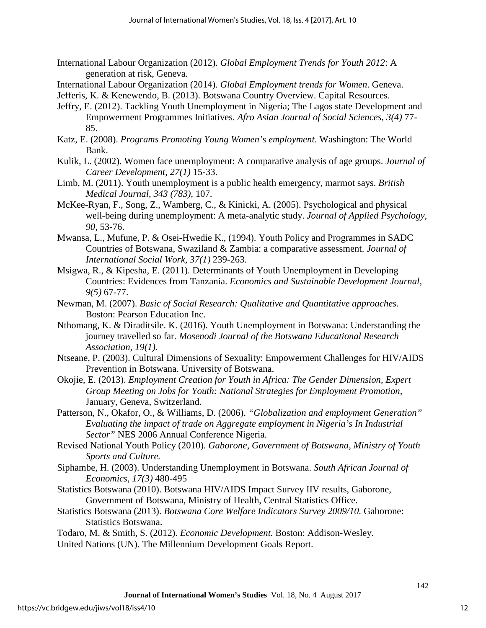- International Labour Organization (2012). *Global Employment Trends for Youth 2012*: A generation at risk, Geneva.
- International Labour Organization (2014). *Global Employment trends for Women*. Geneva.
- Jefferis, K. & Kenewendo, B. (2013). Botswana Country Overview. Capital Resources.
- Jeffry, E. (2012). Tackling Youth Unemployment in Nigeria; The Lagos state Development and Empowerment Programmes Initiatives. *Afro Asian Journal of Social Sciences, 3(4)* 77- 85.
- Katz, E. (2008). *Programs Promoting Young Women's employment*. Washington: The World Bank.
- Kulik, L. (2002). Women face unemployment: A comparative analysis of age groups. *Journal of Career Development, 27(1)* 15-33.
- Limb, M. (2011). Youth unemployment is a public health emergency, marmot says. *British Medical Journal, 343 (783),* 107.
- McKee-Ryan, F., Song, Z., Wamberg, C., & Kinicki, A. (2005). Psychological and physical well-being during unemployment: A meta-analytic study. *Journal of Applied Psychology, 90,* 53-76.
- Mwansa, L., Mufune, P. & Osei-Hwedie K., (1994). Youth Policy and Programmes in SADC Countries of Botswana, Swaziland & Zambia: a comparative assessment. *Journal of International Social Work, 37(1)* 239-263.
- Msigwa, R., & Kipesha, E. (2011). Determinants of Youth Unemployment in Developing Countries: Evidences from Tanzania. *Economics and Sustainable Development Journal, 9(5)* 67-77.
- Newman, M. (2007). *Basic of Social Research: Qualitative and Quantitative approaches.* Boston: Pearson Education Inc.
- Nthomang, K. & Diraditsile. K. (2016). Youth Unemployment in Botswana: Understanding the journey travelled so far. *Mosenodi Journal of the Botswana Educational Research Association, 19(1).*
- Ntseane, P. (2003). Cultural Dimensions of Sexuality: Empowerment Challenges for HIV/AIDS Prevention in Botswana. University of Botswana.
- Okojie, E. (2013). *Employment Creation for Youth in Africa: The Gender Dimension, Expert Group Meeting on Jobs for Youth: National Strategies for Employment Promotion,*  January, Geneva, Switzerland.
- Patterson, N., Okafor, O., & Williams, D. (2006). *"Globalization and employment Generation" Evaluating the impact of trade on Aggregate employment in Nigeria's In Industrial Sector"* NES 2006 Annual Conference Nigeria.
- Revised National Youth Policy (2010). *Gaborone, Government of Botswana, Ministry of Youth Sports and Culture.*
- Siphambe, H. (2003). Understanding Unemployment in Botswana. *South African Journal of Economics, 17(3)* 480-495
- Statistics Botswana (2010). Botswana HIV/AIDS Impact Survey IIV results, Gaborone, Government of Botswana, Ministry of Health, Central Statistics Office.
- Statistics Botswana (2013). *Botswana Core Welfare Indicators Survey 2009/10.* Gaborone: Statistics Botswana.
- Todaro, M. & Smith, S. (2012). *Economic Development.* Boston: Addison-Wesley. United Nations (UN). The Millennium Development Goals Report.